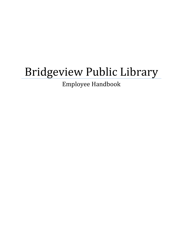# Bridgeview Public Library

Employee Handbook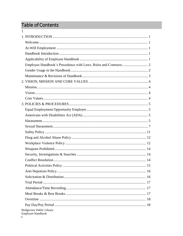# Table of Contents

 $\mathbf{1}$ 

| Bridgeview Public Library<br>Employee Handbook |  |
|------------------------------------------------|--|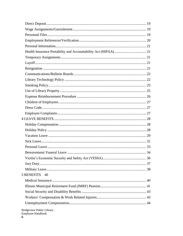| <b>5 BENEFITS</b><br>40 |  |
|-------------------------|--|
|                         |  |
|                         |  |
|                         |  |
|                         |  |
|                         |  |
|                         |  |

Bridgeview Public Library<br>Employee Handbook  $\mathbf{ii}$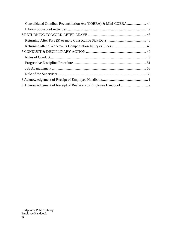| Consolidated Omnibus Reconciliation Act (COBRA) & Mini-COBRA  44 |  |
|------------------------------------------------------------------|--|
|                                                                  |  |
|                                                                  |  |
|                                                                  |  |
|                                                                  |  |
|                                                                  |  |
|                                                                  |  |
|                                                                  |  |
|                                                                  |  |
|                                                                  |  |
|                                                                  |  |
|                                                                  |  |
|                                                                  |  |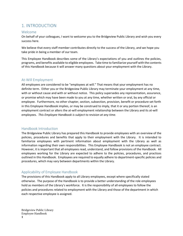# <span id="page-4-0"></span>1. INTRODUCTION

### <span id="page-4-1"></span>Welcome

On behalf of your colleagues, I want to welcome you to the Bridgeview Public Library and wish you every success here.

We believe that every staff member contributes directly to the success of the Library, and we hope you take pride in being a member of our team.

This Employee Handbook describes some of the Library's expectations of you and outlines the policies, programs, and benefits available to eligible employees. Take time to familiarize yourself with the contents of this Handbook because it will answer many questions about your employment with the Library.

### <span id="page-4-2"></span>At-Will Employment

All employees are considered to be "employees at will." That means that your employment has no definite term. Either you or the Bridgeview Public Library may terminate your employment at any time, with or without cause and with or without notice. This policy supersedes any representation, assurance, or promise which may have been made to you at any time, whether written or oral, by any official or employee. Furthermore, no other chapter, section, subsection, provision, benefit or procedure set forth in this Employee Handbook implies, or may be construed to imply, that it or any portion thereof, is an employment contract or alters the at-will employment relationship between the Library and its at-will employees*. This Employee Handbook is subject to revision at any time.* 

### <span id="page-4-3"></span>Handbook Introduction

The Bridgeview Public Library has prepared this Handbook to provide employees with an overview of the policies, procedures and benefits that apply to their employment with the Library. It is intended to familiarize employees with pertinent information about employment with the Library as well as information regarding their own responsibilities. This Employee Handbook is not an employee contract. However, it is important that all employees read, understand, and follow provisions of the Handbook. All employees working for the Library are expected to adhere to the policies, procedures, and practices outlined in this Handbook. Employees are required to equally adhere to department-specific policies and procedures, which may vary between departments within the Library.

### <span id="page-4-4"></span>Applicability of Employee Handbook

The provisions of this Handbook apply to all Library employees, except where specifically stated otherwise. The purpose of the Handbook is to provide a better understanding of the role employees hold as members of the Library's workforce. It is the responsibility of all employees to follow the policies and procedures related to employment with the Library and those of the department in which each respective employee is assigned.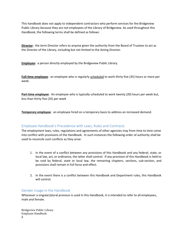This handbook does not apply to independent contractors who perform services for the Bridgeview Public Library because they are not employees of the Library of Bridgeview. As used throughout this Handbook, the following terms shall be defined as follows:

**Director:** the term Director refers to anyone given the authority from the Board of Trustees to act as the Director of the Library, including but not limited to the Acting Director.

**Employee:** a person directly employed by the Bridgeview Public Library.

**Full-time employee**: an employee who is regularly scheduled to work thirty five (35) hours or more per week.

**Part-time employee**: An employee who is typically scheduled to work twenty (20) hours per week but, less than thirty five (35) per week

**Temporary employee**: an employee hired on a temporary basis to address an increased demand.

### <span id="page-5-0"></span>Employee Handbook's Precedence with Laws, Rules and Contracts

The employment laws, rules, regulations and agreements of other agencies may from time to time come into conflict with provisions of the Handbook. In such instances the following order of authority shall be used to reconcile such conflicts as they arise:

- 1. In the event of a conflict between any provisions of this Handbook and any federal, state, or local law, act, or ordinance, the latter shall control. If any provision of this Handbook is held to be void by federal, state or local law, the remaining chapters, sections, sub-section, and provisions shall remain in full force and effect.
- 2. In the event there is a conflict between this Handbook and Department rules, this Handbook will control.

### <span id="page-5-1"></span>Gender Usage in the Handbook

Whenever a singular/plural pronoun is used in this Handbook, it is intended to refer to all employees, male and female.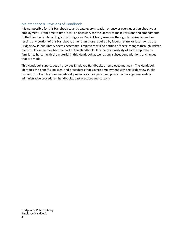### <span id="page-6-0"></span>Maintenance & Revisions of Handbook

It is not possible for this Handbook to anticipate every situation or answer every question about your employment. From time to time it will be necessary for the Library to make revisions and amendments to the Handbook. Accordingly, the Bridgeview Public Library reserves the right to revise, amend, or rescind any portion of this Handbook, other than those required by federal, state, or local law, as the Bridgeview Public Library deems necessary. Employees will be notified of these changes through written memos. These memos become part of this Handbook. It is the responsibility of each employee to familiarize herself with the material in this Handbook as well as any subsequent additions or changes that are made.

This Handbook supersedes all previous Employee Handbooks or employee manuals. The Handbook identifies the benefits, policies, and procedures that govern employment with the Bridgeview Public Library. This Handbook supersedes all previous staff or personnel policy manuals, general orders, administrative procedures, handbooks, past practices and customs.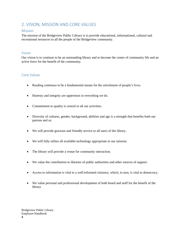# <span id="page-7-0"></span>2. VISION, MISSION AND CORE VALUES

### <span id="page-7-1"></span>Mission

The mission of the Bridgeview Public Library is to provide educational, informational, cultural and recreational resources to all the people of the Bridgeview community.

### <span id="page-7-2"></span>Vision

Our vision is to continue to be an outstanding library and to become the center of community life and an active force for the benefit of the community.

### <span id="page-7-3"></span>Core Values

- Reading continues to be a fundamental means for the enrichment of people's lives.
- Honesty and integrity are uppermost in everything we do.
- Commitment to quality is central to all our activities.
- Diversity of cultures, gender, background, abilities and age is a strength that benefits both our patrons and us.
- We will provide gracious and friendly service to all users of the library.
- We will fully utilize all available technology appropriate to our mission.
- The library will provide a venue for community interaction.
- We value the contribution to libraries of public authorities and other sources of support.
- Access to information is vital to a well-informed citizenry, which, in turn, is vital to democracy.
- We value personal and professional development of both board and staff for the benefit of the library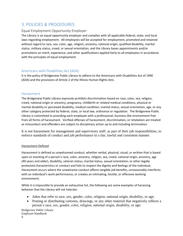# <span id="page-8-0"></span>3. POLICIES & PROCEDURES

### <span id="page-8-1"></span>Equal Employment Opportunity Employer

The Library is an equal opportunity employer and complies with all applicable federal, state, and local laws regarding employment. All employees will be accepted for employment, promoted and retained without regard to race, sex, color, age, religion, ancestry, national origin, qualified disability, marital status, military status, creed, or sexual orientation, and the Library bases appointments and/or promotions on merit, experience, and other qualifications applied fairly to all employees in accordance with the principles of equal employment.

### <span id="page-8-2"></span>Americans with Disabilities Act (ADA)

It is the policy of Bridgeview Public Library to adhere to the Americans with Disabilities Act of 1990 (ADA) and the provisions of Article 2 of the Illinois Human Rights Acts.

### <span id="page-8-3"></span>Harassment

The Bridgeview Public Library expressly prohibits discrimination based on race, color, sex, religion, creed, national origin or ancestry, pregnancy, childbirth or related medical conditions, physical or mental disability or perceived disability, medical condition, marital status, sexual orientation, age, or any other category protected by federal, state, or local law, ordinance or regulation. The Bridgeview Public Library is committed to providing each employee with a professional, business-like environment free from all forms of harassment. Verified offenses of harassment, discrimination, or retaliation are treated as misconduct and offenders are subject to disciplinary action up to and including termination.

It is not harassment for management and supervisory staff, as part of their job responsibilities, to enforce standards of conduct and job performance in a fair, lawful and consistent manner.

### Harassment Defined

Harassment is defined as unwelcomed conduct, whether verbal, physical, visual, or written that is based upon or mocking of a person's race, color, ancestry, religion, sex, creed, national origin, ancestry, age (40 years and older), disability, veteran status, marital status, sexual orientation, or other legally protected characteristics or conduct and fails to respect the dignity and feelings of the individual. Harassment occurs where the unwelcome conduct affects tangible job benefits, unreasonably interferes with an individual's work performance, or creates an intimating, hostile, or offensive working environment.

While it is impossible to provide an exhaustive list, the following are some examples of harassing behavior that the Library will not tolerate:

- Jokes that refer to race, sex, gender, color, religion, national origin, disability, or age;
- Posting or distributing cartoons, drawings, or any other material that negatively reflects a person's race, sex, gender, color, religion, national origin, disability, or age;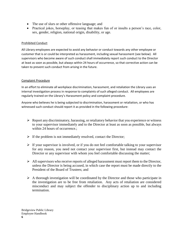- The use of slurs or other offensive language; and
- Practical jokes, horseplay, or teasing that makes fun of or insults a person's race, color, sex, gender, religion, national origin, disability, or age.

### Prohibited Conduct

All Library employees are expected to avoid any behavior or conduct towards any other employee or customer that is or could be interpreted as harassment, including sexual harassment (see below). All supervisors who become aware of such conduct shall immediately report such conduct to the Director at least as soon as possible, but always within 24 hours of occurrence, so that corrective action can be taken to prevent such conduct from arising in the future.

### Complaint Procedure

In an effort to eliminate all workplace discrimination, harassment, and retaliation the Library uses an internal investigation process in response to complaints of such alleged conduct. All employees are regularly trained on the Library's Harassment policy and complaint procedure.

Anyone who believes he is being subjected to discrimination, harassment or retaliation, or who has witnessed such conduct should report it as provided in the following procedure:

- $\triangleright$  Report any discriminatory, harassing, or retaliatory behavior that you experience or witness to your supervisor immediately and to the Director at least as soon as possible, but always within 24 hours of occurrence.:
- $\triangleright$  If the problem is not immediately resolved, contact the Director;
- $\triangleright$  If your supervisor is involved, or if you do not feel comfortable talking to your supervisor for any reason, you need not contact your supervisor first, but instead may contact the Director or any supervisor with whom you feel comfortable discussing the matter;
- $\triangleright$  All supervisors who receive reports of alleged harassment must report them to the Director, unless the Director is being accused, in which case the report must be made directly to the President of the Board of Trustees; and
- ➢ A thorough investigation will be coordinated by the Director and those who participate in the investigation are to be free from retaliation. Any acts of retaliation are considered misconduct and may subject the offender to disciplinary action up to and including termination.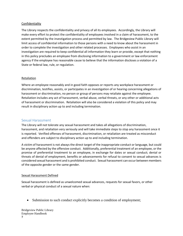#### Confidentiality

The Library respects the confidentiality and privacy of all its employees. Accordingly, the Library will make every effort to protect the confidentiality of employees involved in a claim of harassment, to the extent permitted by the investigation process and permitted by law. The Bridgeview Public Library will limit access of confidential information to those persons with a need to know about the harassment in order to complete the investigation and other related processes. Employees who assist in an investigation are required to keep confidential all information they learn or provide, except that nothing in this policy precludes an employee from disclosing information to a government or law enforcement agency if the employee has reasonable cause to believe that the information discloses a violation of a State or federal law, rule, or regulation.

### Retaliation

Where an employee reasonably and in good faith opposes or reports any workplace harassment or discrimination, testifies, assists, or participates in an investigation of or hearing concerning allegations of harassment or discrimination, no person or group of persons may retaliate against the employee. Retaliation includes any act of harassment, verbal abuse, verbal threats, or any other or additional acts of harassment or discrimination. Retaliation will also be considered a violation of this policy and may result in disciplinary action up to and including termination.

### <span id="page-10-0"></span>Sexual Harassment

The Library will not tolerate any sexual harassment and takes all allegations of discrimination, harassment, and retaliation very seriously and will take immediate steps to stop any harassment once it is reported. Verified offenses of harassment, discrimination, or retaliation are treated as misconduct and offenders are subject to disciplinary action up to and including termination.

A victim of harassment is not always the direct target of the inappropriate conduct or language, but could be anyone affected by the offensive conduct. Additionally, preferential treatment of an employee, or the promise of preferential treatment to an employee, in exchange for dates or sexual conduct; denial or threats of denial of employment, benefits or advancements for refusal to consent to sexual advances is considered sexual harassment and is prohibited conduct. Sexual harassment can occur between members of the opposite gender or the same gender.

#### Sexual Harassment Defined

Sexual harassment is defined as unwelcomed sexual advances, requests for sexual favors, or other verbal or physical conduct of a sexual nature when:

• Submission to such conduct explicitly becomes a condition of employment;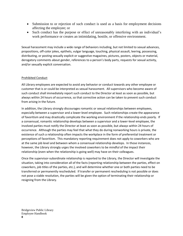- Submission to or rejection of such conduct is used as a basis for employment decisions affecting the employee; or
- Such conduct has the purpose or effect of unreasonably interfering with an individual's work performance or creates an intimidating, hostile, or offensive environment.

Sexual harassment may include a wide range of behaviors including, but not limited to sexual advances, propositions, off-color jokes, epithets, vulgar language, touching, physical assault, leering, possessing, distributing, or posting sexually explicit or suggestive magazines, pictures, posters, objects or material, derogatory comments about gender, references to a person's body parts, requests for sexual activity, and/or sexually explicit conversation.

### Prohibited Conduct

All Library employees are expected to avoid any behavior or conduct towards any other employee or customer that is or could be interpreted as sexual harassment. All supervisors who become aware of such conduct shall immediately report such conduct to the Director at least as soon as possible, but always within 24 hours of occurrence, so that corrective action can be taken to prevent such conduct from arising in the future.

In addition, the Library strongly discourages romantic or sexual relationships between employees, especially between a supervisor and a lower-level employee. Such relationships create the appearance of favoritism and may drastically complicate the working environment if the relationship ends poorly. If a consensual, romantic relationship develops between a supervisor and a lower-level employee, the involved parties must notify the Director at least as soon as possible, but always within 24 hours of occurrence. Although the parties may feel that what they do during nonworking hours is private, the existence of such a relationship often impacts the workplace in the form of preferential treatment or perceptions of favoritism. This mandatory reporting requirement does not apply to coworkers who are at the same job level and between whom a consensual relationship develops. In those instances, however, the Library strongly urges the involved coworkers to be mindful of the impact their relationship (even when the relationship is going well) may have on their colleagues.

Once the supervisor-subordinate relationship is reported to the Library, the Director will investigate the situation, taking into consideration all of the facts (reporting relationship between the parties, effect on coworkers, job titles of the parties, etc.), and will determine whether one or both parties need to be transferred or permanently rescheduled. If transfer or permanent rescheduling is not possible or does not pose a viable resolution, the parties will be given the option of terminating their relationship or resigning from the Library.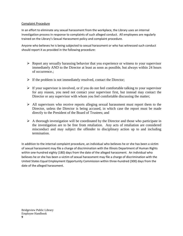#### Complaint Procedure

In an effort to eliminate any sexual harassment from the workplace, the Library uses an internal investigation process in response to complaints of such alleged conduct. All employees are regularly trained on the Library's Sexual Harassment policy and complaint procedure.

Anyone who believes he is being subjected to sexual harassment or who has witnessed such conduct should report it as provided in the following procedure:

- $\triangleright$  Report any sexually harassing behavior that you experience or witness to your supervisor immediately AND to the Director at least as soon as possible, but always within 24 hours of occurrence.;
- $\triangleright$  If the problem is not immediately resolved, contact the Director;
- $\triangleright$  If your supervisor is involved, or if you do not feel comfortable talking to your supervisor for any reason, you need not contact your supervisor first, but instead may contact the Director or any supervisor with whom you feel comfortable discussing the matter;
- $\triangleright$  All supervisors who receive reports alleging sexual harassment must report them to the Director, unless the Director is being accused, in which case the report must be made directly to the President of the Board of Trustees; and
- $\triangleright$  A thorough investigation will be coordinated by the Director and those who participate in the investigation are to be free from retaliation. Any acts of retaliation are considered misconduct and may subject the offender to disciplinary action up to and including termination.

In addition to the internal complaint procedure, an individual who believes he or she has been a victim of sexual harassment may file a charge of discrimination with the Illinois Department of Human Rights within one-hundred eighty (180) days from the date of the alleged harassment. An individual who believes he or she has been a victim of sexual harassment may file a charge of discrimination with the United States Equal Employment Opportunity Commission within three-hundred (300) days from the date of the alleged harassment.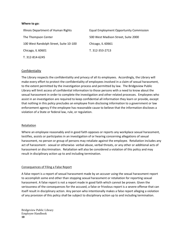#### **Where to go:**

| Illinois Department of Human Rights    | <b>Equal Employment Opportunity Commission</b> |
|----------------------------------------|------------------------------------------------|
| The Thompson Center                    | 500 West Madison Street, Suite 2000            |
| 100 West Randolph Street, Suite 10-100 | Chicago, IL 60661                              |
| Chicago, IL 60601                      | T. 312-353-2713                                |
| T. 312-814-6245                        |                                                |

#### Confidentiality

The Library respects the confidentiality and privacy of all its employees. Accordingly, the Library will make every effort to protect the confidentiality of employees involved in a claim of sexual harassment, to the extent permitted by the investigation process and permitted by law. The Bridgeview Public Library will limit access of confidential information to those persons with a need to know about the sexual harassment in order to complete the investigation and other related processes. Employees who assist in an investigation are required to keep confidential all information they learn or provide, except that nothing in this policy precludes an employee from disclosing information to a government or law enforcement agency if the employee has reasonable cause to believe that the information discloses a violation of a State or federal law, rule, or regulation.

#### Retaliation

Where an employee reasonably and in good faith opposes or reports any workplace sexual harassment, testifies, assists or participates in an investigation of or hearing concerning allegations of sexual harassment, no person or group of persons may retaliate against the employee. Retaliation includes any act of harassment - sexual or otherwise- verbal abuse, verbal threats, or any other or additional acts of harassment or discrimination. Retaliation will also be considered a violation of this policy and may result in disciplinary action up to and including termination.

#### Consequences of Filing a False Report

A false report is a report of sexual harassment made by an accuser using the sexual harassment report to accomplish some end other than stopping sexual harassment or retaliation for reporting sexual harassment. A false report is not a report made in good faith which cannot be proven. Given the seriousness of the consequences for the accused, a false or frivolous report is a severe offense that can itself result in disciplinary action. Any person who intentionally makes a false report alleging a violation of any provision of this policy shall be subject to disciplinary action up to and including termination.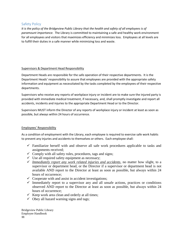### <span id="page-14-0"></span>Safety Policy

*It is the policy of the Bridgeview Public Library that the health and safety of all employees is of paramount importance.* The Library is committed to maintaining a safe and healthy work environment for all employees and visitors that maximizes efficiency and minimizes loss. Employees at all levels are to fulfill their duties in a safe manner while minimizing loss and waste.

### Supervisors & Department Head Responsibility

Department Heads are responsible for the safe operation of their respective departments. It is the Department Heads' responsibility to assure that employees are provided with the appropriate safety information and equipment as necessitated by the tasks completed by the employees of their respective departments.

Supervisors who receive any reports of workplace injury or incident are to make sure the injured party is provided with immediate medical treatment, if necessary, and, shall promptly investigate and report all accidents, incidents and injuries to the appropriate Department Head or to the Director.

Supervisors MUST inform the Director of any reports of workplace injury or incident at least as soon as possible, but always within 24 hours of occurrence.

### Employees' Responsibility

As a condition of employment with the Library, each employee is required to exercise safe work habits to prevent any injuries and accidents to themselves or others. Each employee shall:

- $\checkmark$  Familiarize herself with and observe all safe work procedures applicable to tasks and assignments received;
- $\checkmark$  Comply with all safety rules, procedures, tags and signs;
- $\checkmark$  Use all required safety equipment as necessary;
- ✓ *Immediately report any work related injuries and accidents*, no matter how slight, to a supervisor or department head, or the Director if a supervisor or department head is not available AND report to the Director at least as soon as possible, but always within 24 hours of occurrence;
- $\checkmark$  Cooperate with and assist in accident investigations;
- $\checkmark$  Immediately report to a supervisor any and all unsafe actions, practices or conditions observed AND report to the Director at least as soon as possible, but always within 24 hours of occurrence;
- $\checkmark$  Keep work area clean and orderly at all times;
- $\checkmark$  Obey all hazard warning signs and tags;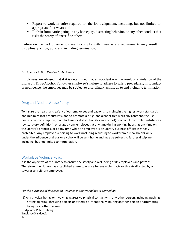- $\checkmark$  Report to work in attire required for the job assignment, including, but not limited to, appropriate foot wear; and
- $\checkmark$  Refrain from participating in any horseplay, distracting behavior, or any other conduct that risks the safety of oneself or others.

Failure on the part of an employee to comply with these safety requirements may result in disciplinary action, up to and including termination.

### *Disciplinary Action Related to Accidents*

Employees are advised that if it is determined that an accident was the result of a violation of the Library's Drug/Alcohol Policy, an employee's failure to adhere to safety procedures, misconduct or negligence, the employee may be subject to disciplinary action, up to and including termination.

### <span id="page-15-0"></span>Drug and Alcohol Abuse Policy

To insure the health and safety of our employees and patrons, to maintain the highest work standards and minimize lost productivity, and to promote a drug- and alcohol-free work environment, the use, possession, consumption, manufacture, or distribution (for sale or not) of alcohol, controlled substances (by statutory definition), or drugs by any employees at any time during working hours, at any time on the Library's premises, or at any time while an employee is on Library business off-site is strictly prohibited. Any employee reporting to work (including returning to work from a meal break) while under the influence of drugs or alcohol will be sent home and may be subject to further discipline including, but not limited to, termination.

### <span id="page-15-1"></span>Workplace Violence Policy

It is the objective of the Library to ensure the safety and well-being of its employees and patrons. Therefore, the Library has established a zero tolerance for any violent acts or threats directed by or towards any Library employee.

#### *For the purposes of this section, violence in the workplace is defined as*:

(1) Any physical behavior involving aggressive physical contact with any other person, including pushing, hitting, fighting, throwing objects or otherwise intentionally injuring another person or attempting to injure another person;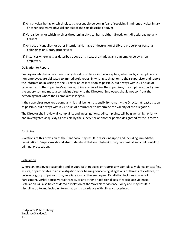- (2) Any physical behavior which places a reasonable person in fear of receiving imminent physical injury or other aggressive physical contact of the sort described above;
- (3) Verbal behavior which involves threatening physical harm, either directly or indirectly, against any person;
- (4) Any act of vandalism or other intentional damage or destruction of Library property or personal belongings on Library property; or
- (5) Instances where acts as described above or threats are made against an employee by a nonemployee.

### Obligation to Report

Employees who become aware of any threat of violence in the workplace, whether by an employee or non-employee, are obligated to immediately report in writing such action to their supervisor and report the information in writing to the Director at least as soon as possible, but always within 24 hours of occurrence. In the supervisor's absence, or in cases involving the supervisor, the employee may bypass the supervisor and make a complaint directly to the Director. Employees should not confront the person against whom their complaint is lodged.

If the supervisor receives a complaint, it shall be her responsibility to notify the Director at least as soon as possible, but always within 24 hours of occurrence to determine the validity of the allegation.

The Director shall review all complaints and investigations. All complaints will be given a high priority and investigated as quickly as possible by the supervisor or another person designated by the Director.

#### Discipline

Violations of this provision of the Handbook may result in discipline up to and including immediate termination. Employees should also understand that such behavior may be criminal and could result in criminal prosecution.

#### Retaliation

Where an employee reasonably and in good faith opposes or reports any workplace violence or testifies, assists, or participates in an investigation of or hearing concerning allegations or threats of violence, no person or group of persons may retaliate against the employee. Retaliation includes any act of harassment, verbal abuse, verbal threats, or any other or additional acts of workplace violence. Retaliation will also be considered a violation of the Workplace Violence Policy and may result in discipline up to and including termination in accordance with Library procedures.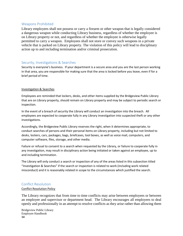### <span id="page-17-0"></span>Weapons Prohibited

Library employees shall not possess or carry a firearm or other weapon that is legally considered a dangerous weapon while conducting Library business, regardless of whether the employee is on Library property or not, and regardless of whether the employee is otherwise legally permitted to carry a weapon. Employees shall not store or convey such weapons in a private vehicle that is parked on Library property. The violation of this policy will lead to disciplinary action up to and including termination and/or criminal prosecution.

### <span id="page-17-1"></span>Security, Investigations & Searches

Security is everyone's business. If your department is a secure area and you are the last person working in that area, you are responsible for making sure that the area is locked before you leave, even if for a brief period of time.

### Investigation & Searches

Employees are reminded that lockers, desks, and other items supplied by the Bridgeview Public Library that are on Library property, should remain on Library property and may be subject to periodic search or inspection.

In the event of a breach of security the Library will conduct an investigation into the breach. All employees are expected to cooperate fully in any Library investigation into suspected theft or any other investigations.

Accordingly, the Bridgeview Public Library reserves the right, when it determines appropriate, to conduct searches of persons and their personal items on Library property, including but not limited to desks, lockers, cars, packages, bags, briefcases, tool boxes, as well as voice mail, computers, and computer software, files, storage, and other media.

Failure or refusal to consent to a search when requested by the Library, or failure to cooperate fully in any investigation, may result in disciplinary action being initiated or taken against an employee, up to and including termination.

The Library will only conduct a search or inspection of any of the areas listed in this subsection titled "Investigation & Searches" if the search or inspection is related to work (including work related misconduct) and it is reasonably related in scope to the circumstances which justified the search.

### <span id="page-17-2"></span>Conflict Resolution

### Conflict Resolution Policy

The Library recognizes that from time to time conflicts may arise between employees or between an employee and supervisor or department head. The Library encourages all employees to deal openly and professionally in an attempt to resolve conflicts as they arise rather than allowing them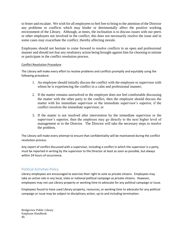to fester and escalate. We wish for all employees to feel free to bring to the attention of the Director any problems or conflicts which may hinder or detrimentally affect the positive working environment of the Library. Although, at times, the inclination is to discuss issues with our peers or other employees not involved in the conflict, this does not necessarily resolve the issue and in some cases may exacerbate the conflict, thereby affecting morale.

Employees should not hesitate to come forward to resolve conflicts in an open and professional manner and should not fear any retaliatory action being brought against him for choosing to initiate or participate in the conflict resolution process.

### Conflict Resolution Procedure

The Library will make every effort to resolve problems and conflicts promptly and equitably using the following procedure:

- 1. An employee should initially discuss the conflict with the employee or supervisor with whom he is experiencing the conflict in a calm and professional manner;
- 2. If the matter remains unresolved or the employee does not feel comfortable discussing the matter with the other party to the conflict, then the employee should discuss the matter with his immediate supervisor or the immediate supervisor's superior, if the conflict involves the immediate supervisor; or
- 3. If the matter is not resolved after intervention by the immediate supervisor or the supervisor's superior, then the employee may go directly to the next higher level of management or to the Director. The Director will take the necessary steps to resolve the problem.

The Library will make every attempt to ensure that confidentiality will be maintained during the conflict resolution process.

Any report of conflict discussed with a supervisor, including a conflict in which the supervisor is a party, must be reported in writing by the supervisor to the Director at least as soon as possible, but always within 24 hours of occurrence.

### <span id="page-18-0"></span>Political Activities Policy

Library employees are encouraged to exercise their right to vote as private citizens. Employees may take an active role in any local, state or national political campaign as private citizens. However, employees may not use Library property or working time to advocate for any political campaign or issue.

Employees found to have used Library property, resources, or working time to advocate for any political campaign or issue may be subject to disciplinary action, up to and including termination.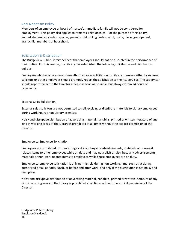### <span id="page-19-0"></span>Anti-Nepotism Policy

Members of an employee or board of trustee's immediate family will not be considered for employment. This policy also applies to romantic relationships. For the purpose of this policy, immediate family includes: spouse, parent, child, sibling, in-law, aunt, uncle, niece, grandparent, grandchild, members of household.

### <span id="page-19-1"></span>Solicitation & Distribution

The Bridgeview Public Library believes that employees should not be disrupted in the performance of their duties. For this reason, the Library has established the following solicitation and distribution policies.

Employees who become aware of unauthorized sales solicitation on Library premises either by external solicitors or other employees should promptly report the solicitation to their supervisor. The supervisor should report the act to the Director at least as soon as possible, but always within 24 hours of occurrence.

### External Sales Solicitation

External sales solicitors are not permitted to sell, explain, or distribute materials to Library employees during work hours or on Library premises.

Noisy and disruptive distribution of advertising material, handbills, printed or written literature of any kind in working areas of the Library is prohibited at all times without the explicit permission of the Director.

### Employee-to-Employee Solicitation

Employees are prohibited from soliciting or distributing any advertisements, materials or non-work related items to other employees while on duty and may not solicit or distribute any advertisements, materials or non-work related items to employees while those employees are on duty.

Employee-to-employee solicitation is only permissible during non-working time, such as at during authorized break periods, lunch, or before and after work, and only if the distribution is not noisy and disruptive.

Noisy and disruptive distribution of advertising material, handbills, printed or written literature of any kind in working areas of the Library is prohibited at all times without the explicit permission of the Director.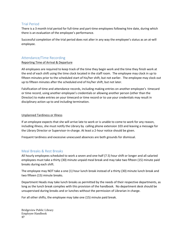### <span id="page-20-0"></span>Trial Period

There is a 3 month trial period for full-time and part-time employees following hire date, during which there is an evaluation of the employee's performance.

Successful completion of the trial period does not alter in any way the employee's status as an at-will employee.

### <span id="page-20-1"></span>Attendance/Time Recording

### Reporting Time of Arrival & Departure

All employees are required to keep track of the time they begin work and the time they finish work at the end of each shift using the time clock located in the staff room. The employee may clock in up to fifteen minutes prior to the scheduled start of his/her shift, but not earlier. The employee may clock out up to fifteen minutes after the scheduled end of his/her shift, but not later.

Falsification of time and attendance records, including making entries on another employee's timecard or time record, using another employee's credentials or allowing another person (other than the Director) to make entries on your timecard or time record or to use your credentials may result in disciplinary action up to and including termination.

### Unplanned Tardiness or Illness

If an employee expects that she will arrive late to work or is unable to come to work for any reason, including illness, she must notify the Library by calling phone extension 103 and leaving a message for the Library Director or Supervisor-in-charge. At least a 2-hour notice should be given.

Frequent tardiness and excessive unexcused absences are both grounds for dismissal.

### <span id="page-20-2"></span>Meal Breaks & Rest Breaks

All hourly employees scheduled to work a seven and one-half (7.5) hour shift or longer and all salaried employees must take a thirty (30) minute unpaid meal break and may take two fifteen (15) minute paid breaks during each shift.

The employee may NOT take a one (1) hour lunch break instead of a thirty (30) minute lunch break and two fifteen (15) minute breaks.

Department Heads may take lunch breaks as permitted by the needs of their respective departments, as long as the lunch break complies with this provision of the handbook. No department desk should be unsupervised during breaks and or lunches without the permission of Librarian in charge.

For all other shifts, the employee may take one (15) minute paid break.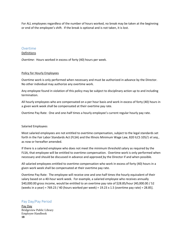For ALL employees regardless of the number of hours worked, no break may be taken at the beginning or end of the employee's shift. If the break is optional and is not taken, it is lost.

#### <span id="page-21-0"></span>Overtime

#### Definitions

*Overtime*: Hours worked in excess of forty (40) hours per week.

#### Policy for Hourly Employees

Overtime work is only performed when necessary and must be authorized in advance by the Director. No other individual may authorize any overtime work.

Any employee found in violation of this policy may be subject to disciplinary action up to and including termination.

All hourly employees who are compensated on a per hour basis and work in excess of forty (40) hours in a given work week shall be compensated at their overtime pay rate.

Overtime Pay Rate: One and one-half times a hourly employee's current regular hourly pay rate.

#### Salaried Employees

Most salaried employees are not entitled to overtime compensation, subject to the legal standards set forth in the Fair Labor Standards Act (FLSA) and the Illinois Minimum Wage Law, 820 ILCS 105/1 *et seq.*, as now or hereafter amended.

If there is a salaried employee who does not meet the minimum threshold salary as required by the FLSA, that employee will be entitled to overtime compensation. Overtime work is only performed when necessary and should be discussed in advance and approved by the Director if and when possible.

All salaried employees entitled to overtime compensation who work in excess of forty (40) hours in a given work week shall be compensated at their overtime pay rate.

Overtime Pay Rate: The employee will receive one and one-half times the hourly equivalent of their salary based on a 40-hour work week. For example, a salaried employee who receives annually \$40,000.00 gross income, would be entitled to an overtime pay rate of \$28.85/hour [40,000.00 / 52 (weeks in a year) = 769.23 / 40 (hours worked per week) = 19.23 x 1.5 (overtime pay rate) = 28.85].

### <span id="page-21-1"></span>Pay Day/Pay Period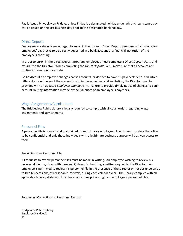Pay is issued bi-weekly on Fridays, unless Friday is a designated holiday under which circumstance pay will be issued on the last business day prior to the designated bank holiday.

### <span id="page-22-0"></span>Direct Deposit

Employees are strongly encouraged to enroll in the Library's Direct Deposit program, which allows for employees' paychecks to be directly deposited in a bank account at a financial institution of the employee's choosing.

In order to enroll in the Direct Deposit program, employees must complete a *Direct Deposit Form* and return it to the Director. When completing the *Direct Deposit Form*, make sure that all account and routing information is accurate.

*Be Advised!* If an employee changes banks accounts, or decides to have his paycheck deposited into a different account, even if the account is within the same financial institution, the Director must be provided with an updated *Employee Change Form*. Failure to provide timely notice of changes to bank account routing information may delay the issuances of an employee's paycheck.

### <span id="page-22-1"></span>Wage Assignments/Garnishment

The Bridgeview Public Library is legally required to comply with all court orders regarding wage assignments and garnishments.

### <span id="page-22-2"></span>Personnel Files

A personnel file is created and maintained for each Library employee. The Library considers these files to be confidential and only those individuals with a legitimate business purpose will be given access to them.

### Reviewing Your Personnel File

All requests to review personnel files must be made in writing. An employee wishing to review his personnel file may do so within seven (7) days of submitting a written request to the Director. An employee is permitted to review his personnel file in the presence of the Director or her designee on up to two (2) occasions, at reasonable intervals, during each calendar year. The Library complies with all applicable federal, state, and local laws concerning privacy rights of employees' personnel files.

Requesting Corrections to Personnel Records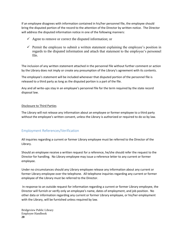If an employee disagrees with information contained in his/her personnel file, the employee should bring the disputed portion of the record to the attention of the Director by written notice. The Director will address the disputed information notice in one of the following manners:

- $\checkmark$  Agree to remove or correct the disputed information; or
- $\checkmark$  Permit the employee to submit a written statement explaining the employee's position in regards to the disputed information and attach that statement to the employee's personnel file.

The inclusion of any written statement attached in the personnel file without further comment or action by the Library does not imply or create any presumption of the Library's agreement with its contents.

The employee's statement will be included whenever that disputed portion of the personnel file is released to a third party as long as the disputed portion is a part of the file.

Any and all write-ups stay in an employee's personnel file for the term required by the state record disposal law.

#### Disclosure to Third Parties

The Library will not release any information about an employee or former employee to a third party without the employee's written consent, unless the Library is authorized or required to do so by law.

### <span id="page-23-0"></span>Employment References/Verification

All inquiries regarding a current or former Library employee must be referred to the Director of the Library.

Should an employee receive a written request for a reference, he/she should refer the request to the Director for handling. No Library employee may issue a reference letter to any current or former employee.

Under no circumstances should any Library employee release any information about any current or former Library employee over the telephone. All telephone inquiries regarding any current or former employee of the Library must be referred to the Director.

In response to an outside request for information regarding a current or former Library employee, the Director will furnish or verify only an employee's name, dates of employment, and job position. No other data or information regarding any current or former Library employee, or his/her employment with the Library, will be furnished unless required by law.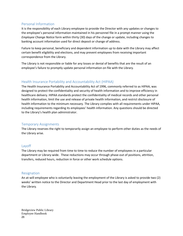### <span id="page-24-0"></span>Personal Information

It is the responsibility of each Library employee to provide the Director with any updates or changes to the employee's personal information maintained in his personnel file in a prompt manner using the *Employee Change Notice* form within thirty (30) days of the change or update, including changes to banking account information used for direct deposit or change of address.

Failure to keep personal, beneficiary and dependent information up to date with the Library may affect certain benefit eligibility and elections, and may prevent employees from receiving important correspondence from the Library.

The Library is not responsible or liable for any losses or denial of benefits that are the result of an employee's failure to promptly update personal information on file with the Library.

### <span id="page-24-1"></span>Health Insurance Portability and Accountability Act (HIPAA)

The Health Insurance Portability and Accountability Act of 1996, commonly referred to as HIPAA, was designed to protect the confidentiality and security of health information and to improve efficiency in healthcare delivery. HIPAA standards protect the confidentiality of medical records and other personal health information, limit the use and release of private health information, and restrict disclosure of health information to the minimum necessary. The Library complies with all requirements under HIPAA, including requirements regarding its employees' health information. Any questions should be directed to the Library's health plan administrator.

### <span id="page-24-2"></span>Temporary Assignments

The Library reserves the right to temporarily assign an employee to perform other duties as the needs of the Library arise.

### <span id="page-24-3"></span>Layoff

The Library may be required from time to time to reduce the number of employees in a particular department or Library-wide. These reductions may occur through phase-out of positions, attrition, transfers, reduced hours, reduction in force or other work schedule options.

### <span id="page-24-4"></span>Resignation

An at-will employee who is voluntarily leaving the employment of the Library is asked to provide two (2) weeks' written notice to the Director and Department Head prior to the last day of employment with the Library*.*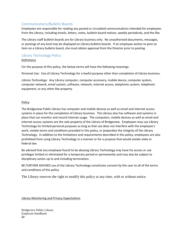### <span id="page-25-0"></span>Communications/Bulletin Boards

Employees are responsible for reading any posted or circulated communications intended for employees from the Library, including emails, letters, notes, bulletin board notices, weekly periodicals, and the like.

The Library staff bulletin boards are for Library business only. No unauthorized documents, messages, or postings of any kind may be displayed on Library bulletin boards. If an employee wishes to post an item on a Library bulletin board, she must obtain approval from the Director prior to posting.

### <span id="page-25-1"></span>Library Technology Policy

### Definitions

For the purpose of this policy, the below terms will have the following meanings:

*Personal Use*: Use of Library Technology for a lawful purpose other than completion of Library business.

*Library Technology*: Any Library computer, computer accessory, mobile device, computer system, computer network, email system, software, network, internet access, telephonic system, telephonic equipment, or any other like property.

### Policy

The Bridgeview Public Library has computer and mobile devices as well as email and internet access systems in place for the completion of Library business. The Library also has software and systems in place that can monitor and record internet usage. The computers, mobile devices as well as email and internet access systems are the sole property of the Library of Bridgeview. Employees may use Library Technology for limited personal purposes as long as that use does not interfere with the employee's work, violate terms and conditions provided in this policy, or jeopardize the integrity of the Library Technology. In addition to the limitations and requirements described in this policy, employees are also prohibited from using Library Technology in a manner or for a purpose that would violate state or federal law.

Be advised that any employee found to be abusing Library Technology may have his access or use privileges limited or eliminated for a temporary period or permanently and may also be subject to disciplinary action up to and including termination.

BE FURTHER ADVISED use of the Library Technology constitutes consent by the user to all of the terms and conditions of this policy.

The Library reserves the right to modify this policy at any time, with or without notice.

Library Monitoring and Privacy Expectations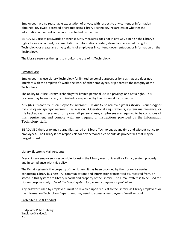Employees have no reasonable expectation of privacy with respect to any content or information obtained, reviewed, accessed or created using Library Technology, regardless of whether the information or content is password-protected by the user.

BE ADVISED use of passwords or other security measures does not in any way diminish the Library's rights to access content, documentation or information created, stored and accessed using its Technology, or create any privacy rights of employees in content, documentation, or information on the Technology.

The Library reserves the right to monitor the use of its Technology.

### Personal Use

Employees may use Library Technology for limited personal purposes as long as that use does not interfere with the employee's work, the work of other employees, or jeopardize the integrity of the Technology.

The ability to utilize Library Technology for limited personal use is a privilege and not a right. This privilege may be restricted, terminated or suspended by the Library at its discretion.

*Any files created by an employee for personal use are to be removed from Library Technology at the end of the specific personal use session*. Operational requirements, system maintenance, or file backups will receive priority over all personal use; employees are required to be conscious of this requirement and comply with any request or instructions provided by the Information Technology staff.

BE ADVISED the Library may purge files stored on Library Technology at any time and without notice to employees. The Library is not responsible for any personal files or outside project files that may be purged or lost.

### Library Electronic Mail Accounts

Every Library employee is responsible for using the Library electronic mail, or E-mail, system properly and in compliance with this policy.

The E-mail system is the property of the Library. It has been provided by the Library for use in conducting Library business. All communications and information transmitted by, received from, or stored in this system are Library records and property of the Library. The E-mail system is to be used for Library purposes only. *Use of the E-mail system for personal purposes is prohibited.*

Any password used by employees must be revealed upon request to the Library, as Library employees or the Information Technology Department may need to access an employee's E-mail account.

#### Prohibited Use & Conduct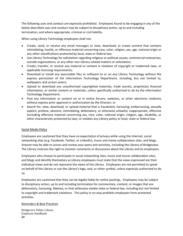The following uses and conduct are expressly prohibited. Employees found to be engaging in any of the below-described uses and conduct may be subject to disciplinary action, up to and including termination, and where appropriate, criminal or civil liability.

When using Library Technology employees shall not:

- Create, send, or receive any email messages or view, download, or create content that contains intimidating, hostile, or offensive material concerning race, color, religion, sex, age, national origin or any other classifications protected by local, state or federal law;
- Use Library Technology for solicitation regarding religious or political causes, commercial enterprises, outside organizations, or any other non-Library related matters or solicitation;
- Create, transfer, or receive any material or content in violation of copyright or trademark laws, or applicable licensing requirements;
- Download or install any executable files or software to or on any Library Technology without the express permission of the Information Technology Department, including, but not limited to, wallpapers and screen savers;
- Upload or download any unauthorized copyrighted materials, trade secrets, proprietary financial information, or similar content or materials, unless specifically authorized to do by the Information Technology Department;
- Post any information or content on or in online forums, websites, or other electronic mediums without express prior approval or authorization by the Director; or
- Search for, view, download, or upload material that is fraudulent, harassing, embarrassing, sexually explicit, profane, obscene, intimidating, defamatory, or otherwise unlawful, inappropriate, offensive (including offensive material concerning sex, race, color, national origin, religion, age, disability, or other characteristic protected by law), or violates any Library policy or local, state or federal law.

#### Social Media Policy

Employees are cautioned that they have no expectation of privacy while using the Internet, social networking sites (e.g. Facebook, Twitter, or LinkedIn), music and movie collaboration sites, and blogs. Anyone may be able to access and review your posts and activities, including the Library of Bridgeview. The Library reserves the right to monitor comments or discussions about the Library and its employees.

Employees who choose to participate in social networking sites, music and movie collaboration sites, and blogs and identify themselves as Library employees must state that the views expressed are their individual views and do not represent the views of the Library. Employees are not permitted to speak on behalf of the Library or use the Library's logo, seal, or other symbol, unless expressly authorized to do so.

Employees are cautioned that they can be legally liable for online postings. Employees may be subject to disciplinary action, up to and including termination for commentary, content, or images that are defamatory, harassing, libelous, or that otherwise violate state or federal law, including but not limited to copyright and trademark violations. This policy in no way prohibits employees from protected activities.

#### Reminders & Best Practices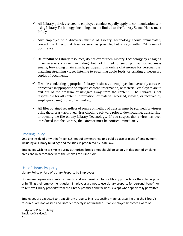- $\checkmark$  All Library policies related to employee conduct equally apply to communication sent using Library Technology, including, but not limited to, the Library Sexual Harassment Policy.
- $\checkmark$  Any employee who discovers misuse of Library Technology should immediately contact the Director at least as soon as possible, but always within 24 hours of occurrence.
- $\checkmark$  Be mindful of Library resources, do not overburden Library Technology by engaging in unnecessary conduct, including, but not limited to, sending unauthorized mass emails, forwarding chain emails, participating in online chat groups for personal use, watching streaming video, listening to streaming audio feeds, or printing unnecessary copies of documents.
- $\checkmark$  If while conducting appropriate Library business, an employee inadvertently accesses or receives inappropriate or explicit content, information, or material, employees are to exit out of the program or navigate away from the content. The Library is not responsible for all content, information, or material accessed, viewed, or received by employees using Library Technology.
- $\checkmark$  All files obtained regardless of source or method of transfer must be scanned for viruses using the Library-approved virus checking software prior to downloading, transferring, or opening the file on any Library Technology. If you suspect that a virus has been introduced into the Library, the Director must be notified immediately.

### <span id="page-28-0"></span>Smoking Policy

Smoking inside of or within fifteen (15) feet of any entrance to a public place or place of employment, including all Library buildings and facilities, is prohibited by State law.

Employees wishing to smoke during authorized break times should do so only in designated smoking areas and in accordance with the Smoke Free Illinois Act.

### <span id="page-28-1"></span>Use of Library Property

Library Policy on Use of Library Property by Employees

Library employees are granted access to and are permitted to use Library property for the sole purpose of fulfilling their employment duties. Employees are not to use Library property for personal benefit or to remove Library property from the Library premises and facilities, except when specifically permitted.

Employees are expected to treat Library property in a responsible manner, assuring that the Library's resources are not wasted and Library property is not misused. If an employee becomes aware of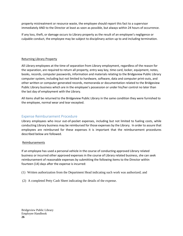property mistreatment or resource waste, the employee should report this fact to a supervisor immediately AND to the Director at least as soon as possible, but always within 24 hours of occurrence.

If any loss, theft, or damage occurs to Library property as the result of an employee's negligence or culpable conduct, the employee may be subject to disciplinary action up to and including termination.

### Returning Library Property

All Library employees at the time of separation from Library employment, regardless of the reason for the separation, are required to return all property, entry way key, time card, locker, equipment, notes, books, records, computer passwords, information and materials relating to the Bridgeview Public Library computer system, including but not limited to hardware, software, data and computer print-outs, and other written or computer generated records, memoranda or documentation related to the Bridgeview Public Library business which are in the employee's possession or under his/her control no later than the last day of employment with the Library.

All items shall be returned to the Bridgeview Public Library in the same condition they were furnished to the employee, normal wear and tear excepted.

### <span id="page-29-0"></span>Expense Reimbursement Procedure

Library employees who incur out-of-pocket expenses, including but not limited to fueling costs, while conducting Library business may be reimbursed for those expenses by the Library. In order to assure that employees are reimbursed for these expenses it is important that the reimbursement procedures described below are followed.

#### **Reimbursements**

If an employee has used a personal vehicle in the course of conducting approved Library related business or incurred other approved expenses in the course of Library related business, she can seek reimbursement of reasonable expenses by submitting the following items to the Director within fourteen (14) days after the expense is incurred:

- (1) Written authorization from the Department Head indicating such work was authorized; and
- (2) A completed Petty Cash Sheet indicating the details of the expense.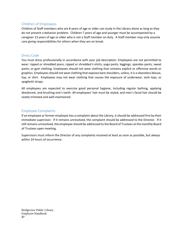### <span id="page-30-0"></span>Children of Employees

Children of Staff members who are 8 years of age or older can study in the Library alone as long as they do not present a behavior problem. Children 7 years of age and younger must be accompanied by a caregiver 13 years of age or older who is not a Staff member on duty. A Staff member may only assume care giving responsibilities for others when they are on break.

### <span id="page-30-1"></span>Dress Code

You must dress professionally in accordance with your job description. Employees are not permitted to wear: ripped or shredded jeans; ripped or shredded t-shirts; yoga pants; leggings; spandex pants; sweat pants; or gym clothing. Employees should not wear clothing that contains explicit or offensive words or graphics. Employees should not wear clothing that exposes bare shoulders, unless, it is a sleeveless blouse, top, or shirt. Employees may not wear clothing that causes the exposure of underwear, tank tops, or spaghetti straps.

All employees are expected to exercise good personal hygiene, including regular bathing, applying deodorant, and brushing one's teeth. All employees' hair must be styled, and men's facial hair should be neatly trimmed and well-maintained.

### <span id="page-30-2"></span>Employee Complaints

If an employee or former employee has a complaint about the Library, it should be addressed first by their immediate supervisor. If it remains unresolved, the complaint should be addressed to the Director. If it still remains unresolved, the employee should be addressed to the Board of Trustees at the monthly Board of Trustees open meeting.

Supervisors must inform the Director of any complaints received at least as soon as possible, but always within 24 hours of occurrence.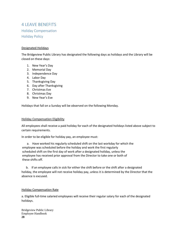# <span id="page-31-2"></span><span id="page-31-1"></span><span id="page-31-0"></span>4 LEAVE BENEFITS Holiday Compensation Holiday Policy

#### Designated Holidays

The Bridgeview Public Library has designated the following days as holidays and the Library will be closed on these days:

- 1. New Year's Day
- 2. Memorial Day
- 3. Independence Day
- 4. Labor Day
- 5. Thanksgiving Day
- 6. Day after Thanksgiving
- 7. Christmas Eve
- 8. Christmas Day
- 9. New Year's Eve

Holidays that fall on a Sunday will be observed on the following Monday.

#### Holiday Compensation Eligibility

All employees shall receive a paid holiday for each of the designated holidays listed above subject to certain requirements.

In order to be eligible for holiday pay, an employee must:

a. Have worked his regularly scheduled shift on the last workday for which the employee was scheduled before the holiday and work the first regularly scheduled shift on the first day of work after a designated holiday, unless the employee has received prior approval from the Director to take one or both of these shifts off.

 b. If an employee calls in sick for either the shift before or the shift after a designated holiday, the employee will not receive holiday pay, unless it is determined by the Director that the absence is excused.

#### Holiday Compensation Rate

a. Eligible full-time salaried employees will receive their regular salary for each of the designated holidays.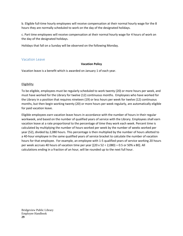b. Eligible full-time hourly employees will receive compensation at their normal hourly wage for the 8 hours they are normally scheduled to work on the day of the designated holidays.

c. Part time employees will receive compensation at their normal hourly wage for 4 hours of work on the day of the designated holidays.

Holidays that fall on a Sunday will be observed on the following Monday.

### <span id="page-32-0"></span>Vacation Leave

### **Vacation Policy**

Vacation leave is a benefit which is awarded on January 1 of each year.

### Eligibility

To be eligible, employees must be regularly scheduled to work twenty (20) or more hours per week, and must have worked for the Library for twelve (12) continuous months. Employees who have worked for the Library in a position that requires nineteen (19) or less hours per week for twelve (12) continuous months, but then begin working twenty (20) or more hours per week regularly, are automatically eligible for paid vacation leave.

Eligible employees earn vacation leave hours in accordance with the number of hours in their regular workweek, and based on the number of qualified years of service with the Library. Employees shall earn vacation leave at a rate proportional to the percentage of time they work each week. Percent time is calculated by multiplying the number of hours worked per week by the number of weeks worked per year (52), divided by 2,080 hours. This percentage is then multiplied by the number of hours allotted to a 40-hour employee in the same qualified years of service bracket to calculate the number of vacation hours for that employee. For example, an employee with 1-5 qualified years of service working 20 hours per week accrues 40 hours of vacation time per year  $[(20 \times 52 \div 2,080) = 0.5$  or 50% x 80]. All calculations ending in a fraction of an hour, will be rounded up to the next full hour.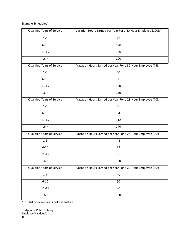### Example Schedules\*

| Qualified Years of Service        | Vacation Hours Earned per Year For a 40-Hour Employee (100%) |  |
|-----------------------------------|--------------------------------------------------------------|--|
| $1 - 5$                           | 80                                                           |  |
| $6 - 10$                          | 120                                                          |  |
| $11 - 15$                         | 160                                                          |  |
| $16 +$                            | 200                                                          |  |
| <b>Qualified Years of Service</b> | Vacation Hours Earned per Year For a 30-Hour Employee (75%)  |  |
| $1-5$                             | 60                                                           |  |
| $6 - 10$                          | 90                                                           |  |
| $11 - 15$                         | 120                                                          |  |
| $16 +$                            | 150                                                          |  |
| <b>Qualified Years of Service</b> | Vacation Hours Earned per Year For a 28-Hour Employee (70%)  |  |
| $1-5$                             | 56                                                           |  |
| $6 - 10$                          | 84                                                           |  |
| $11 - 15$                         | 112                                                          |  |
| $16 +$                            | 140                                                          |  |
| Qualified Years of Service        | Vacation Hours Earned per Year For a 24-Hour Employee (60%)  |  |
| $1-5$                             | 48                                                           |  |
| $6 - 10$                          | 72                                                           |  |
| $11 - 15$                         | 96                                                           |  |
| $16 +$                            | 120                                                          |  |
| <b>Qualified Years of Service</b> | Vacation Hours Earned per Year For a 20-Hour Employee (50%)  |  |
| $1-5$                             | 40                                                           |  |
| $6 - 10$                          | 60                                                           |  |
| $11 - 15$                         | 80                                                           |  |
| $16 +$                            | 100                                                          |  |

\*This list of examples is not exhaustive.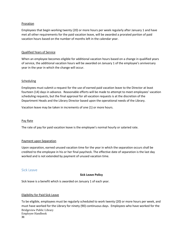#### Proration

Employees that begin working twenty (20) or more hours per week regularly after January 1 and have met all other requirements for the paid vacation leave, will be awarded a prorated portion of paid vacation hours based on the number of months left in the calendar year.

#### Qualified Years of Service

When an employee becomes eligible for additional vacation hours based on a change in qualified years of service, the additional vacation hours will be awarded on January 1 of the employee's anniversary year in the year in which the change will occur.

#### Scheduling

Employees must submit a request for the use of earned paid vacation leave to the Director at least fourteen (14) days in advance. Reasonable efforts will be made to attempt to meet employees' vacation scheduling requests, but the final approval for all vacation requests is at the discretion of the Department Heads and the Library Director based upon the operational needs of the Library.

Vacation leave may be taken in increments of one (1) or more hours.

#### Pay Rate

The rate of pay for paid vacation leave is the employee's normal hourly or salaried rate.

#### Payment upon Separation

Upon separation, earned unused vacation time for the year in which the separation occurs shall be credited to the employee in his or her final paycheck. The effective date of separation is the last day worked and is not extended by payment of unused vacation time.

#### <span id="page-34-0"></span>Sick Leave

#### **Sick Leave Policy**

Sick leave is a benefit which is awarded on January 1 of each year.

#### Eligibility for Paid Sick Leave

Bridgeview Public Library Employee Handbook **31** To be eligible, employees must be regularly scheduled to work twenty (20) or more hours per week, and must have worked for the Library for ninety (90) continuous days. Employees who have worked for the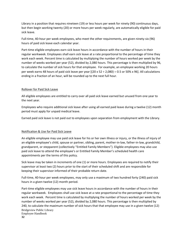Library in a position that requires nineteen (19) or less hours per week for ninety (90) continuous days, but then begin working twenty (20) or more hours per week regularly, are automatically eligible for paid sick leave.

Full-time, 40-hour per week employees, who meet the other requirements, are given ninety-six (96) hours of paid sick leave each calendar year.

Part-time eligible employees earn sick leave hours in accordance with the number of hours in their regular workweek. Employees shall earn sick leave at a rate proportional to the percentage of time they work each week. Percent time is calculated by multiplying the number of hours worked per week by the number of weeks worked per year (52), divided by 2,080 hours. This percentage is then multiplied by 96, to calculate the number of sick hours for that employee. For example, an employee working 20 hours per week earns 48 hours of paid sick leave per year  $[(20 \times 52 \div 2,080) = 0.5$  or 50% x 96]. All calculations ending in a fraction of an hour, will be rounded up to the next full hour.

#### Rollover for Paid Sick Leave

All eligible employees are entitled to carry over all paid sick leave earned but unused from one year to the next year.

Employees who require additional sick leave after using all earned paid leave during a twelve (12) month period must apply for unpaid medical leave.

Earned paid sick leave is not paid out to employees upon separation from employment with the Library.

#### Notification & Use for Paid Sick Leave

An eligible employee may use paid sick leave for his or her own illness or injury, or the illness of injury of an eligible employee's child, spouse or partner, sibling, parent, mother-in-law, father-in-law, grandchild, grandparent, or stepparent (collectively "Entitled Family Members"). Eligible employees may also use paid sick leave to attend the employee's or Entitled Family Member's scheduled health care appointments per the terms of this policy.

Sick leave may be taken in increments of one (1) or more hours. Employees are required to notify their supervisor at least two (2) hours prior to the start of their scheduled shift and are responsible for keeping their supervisor informed of their probable return date.

Full-time, 40-hour per week employees, may only use a maximum of two hundred forty (240) paid sick hours in a given twelve (12) month period.

Bridgeview Public Library Employee Handbook **32** Part-time eligible employees may use sick leave hours in accordance with the number of hours in their regular workweek. Employees shall use sick leave at a rate proportional to the percentage of time they work each week. Percent time is calculated by multiplying the number of hours worked per week by the number of weeks worked per year (52), divided by 2,080 hours. This percentage is then multiplied by 240, to calculate the maximum number of sick hours that that employee may use in a given twelve (12)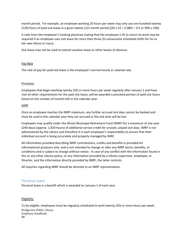month period. For example, an employee working 20 hours per week may only use one hundred twenty (120) hours of paid sick leave in a given twelve (12) month period  $[(20 \times 52 \div 2,080) = 0.5$  or 50% x 240].

A note from the employee's treating physician stating that the employee is fit to return to work may be required if an employee uses sick leave for more than three (3) consecutive scheduled shifts for his or her own illness or injury.

Sick leave may not be used to extend vacation leave or other leaves of absence.

### Pay Rate

The rate of pay for paid sick leave is the employee's normal hourly or salaried rate.

### **Proration**

Employees that begin working twenty (20) or more hours per week regularly after January 1 and have met all other requirements for the paid sick leave, will be awarded a prorated portion of paid sick hours based on the number of months left in the calendar year.

### IMRF

Once an employee reaches the IMRF maximum, any further accrued sick days cannot be banked and must be used in the calendar year they are accrued or the sick time will be lost.

Employees may qualify under the Illinois Municipal Retirement Fund (IMRF) for a maximum of one year (240 days) (approx. 1,920 hours) of additional service credit for unused, unpaid sick days. IMRF is not administered by the Library and therefore it is each employee's responsibility to ensure that their individual account is being accurately and properly managed by IMRF.

All information provided describing IMRF contributions, credits and benefits is provided for informational purposes only, and is not intended to change or alter any IMRF terms, benefits, or conditions and is subject to change without notice. In case of any conflict with the information found in this or any other Library policy, or any information provided by a Library supervisor, employee, or Director, and the information directly provided by IMRF, the latter controls.

All inquiries regarding IMRF should be directed to an IMRF representative.

### <span id="page-36-0"></span>Personal Leave

Personal leave is a benefit which is awarded on January 1 of each year.

#### Eligibility

Bridgeview Public Library Employee Handbook **33** To be eligible, employees must be regularly scheduled to work twenty (20) or more hours per week.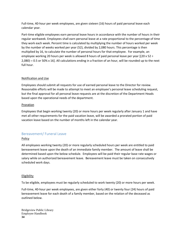Full-time, 40-hour per week employees, are given sixteen (16) hours of paid personal leave each calendar year.

Part-time eligible employees earn personal leave hours in accordance with the number of hours in their regular workweek. Employees shall earn personal leave at a rate proportional to the percentage of time they work each week. Percent time is calculated by multiplying the number of hours worked per week by the number of weeks worked per year (52), divided by 2,080 hours. This percentage is then multiplied by 16, to calculate the number of personal hours for that employee. For example, an employee working 20 hours per week is allowed 8 hours of paid personal leave per year [(20 x 52 ÷  $2,080$  = 0.5 or 50% x 16]. All calculations ending in a fraction of an hour, will be rounded up to the next full hour.

### Notification and Use

Employees should submit all requests for use of earned personal leave to the Director for review. Reasonable efforts will be made to attempt to meet an employee's personal leave scheduling request, but the final approval for all personal leave requests are at the discretion of the Department Heads based upon the operational needs of the department.

### Proration

Employees that begin working twenty (20) or more hours per week regularly after January 1 and have met all other requirements for the paid vacation leave, will be awarded a prorated portion of paid vacation leave based on the number of months left in the calendar year.

### <span id="page-37-0"></span>Bereavement/ Funeral Leave

### **Policy**

All employees working twenty (20) or more regularly scheduled hours per week are entitled to paid bereavement leave upon the death of an immediate family member. The amount of leave shall be determined based upon the below schedule. Employees will be paid their regular base rate wages or salary while on authorized bereavement leave. Bereavement leave must be taken on consecutively scheduled work days.

#### **Eligibility**

To be eligible, employees must be regularly scheduled to work twenty (20) or more hours per week.

Full-time, 40-hour per week employees, are given either forty (40) or twenty four (24) hours of paid bereavement leave for each death of a family member, based on the relation of the deceased as outlined below.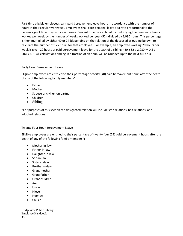Part-time eligible employees earn paid bereavement leave hours in accordance with the number of hours in their regular workweek. Employees shall earn personal leave at a rate proportional to the percentage of time they work each week. Percent time is calculated by multiplying the number of hours worked per week by the number of weeks worked per year (52), divided by 2,080 hours. This percentage is then multiplied by either 40 or 24 (depending on the relation of the deceased as outline below), to calculate the number of sick hours for that employee. For example, an employee working 20 hours per week is given 20 hours of paid bereavement leave for the death of a sibling  $[(20 \times 52 \div 2,080) = 0.5$  or 50% x 40]. All calculations ending in a fraction of an hour, will be rounded up to the next full hour.

### Forty Hour Bereavement Leave

Eligible employees are entitled to their percentage of forty (40) paid bereavement hours after the death of any of the following family members\*:

- Father
- Mother
- Spouse or civil union partner
- Children
- Sibling

\*For purposes of this section the designated relation will include step relations, half relations, and adopted relations.

### Twenty Four Hour Bereavement Leave

Eligible employees are entitled to their percentage of twenty four (24) paid bereavement hours after the death of any of the following family members\*:

- Mother-in-law
- Father-in-law
- Daughter-in-law
- Son-in-law
- Sister-in-law
- Brother-in-law
- Grandmother
- Grandfather
- Grandchildren
- Aunt
- Uncle
- Niece
- Nephew
- **Cousin**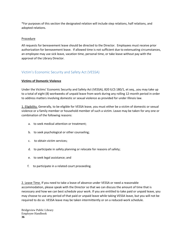\*For purposes of this section the designated relation will include step relations, half relations, and adopted relations.

### Procedure

All requests for bereavement leave should be directed to the Director. Employees must receive prior authorization for bereavement leave. If allowed time is not sufficient due to extenuating circumstances, an employee may use sick leave, vacation time, personal time, or take leave without pay with the approval of the Library Director.

### <span id="page-39-0"></span>Victim's Economic Security and Safety Act (VESSA)

### **Victims of Domestic Violence**

Under the Victims' Economic Security and Safety Act (VESSA), 820 ILCS 180/1, et seq., you may take up to a total of eight (8) workweeks of unpaid leave from work during any rolling 12-month period in order to address matters involving domestic or sexual violence as provided for under Illinois law.

1. Eligibility. Generally, to be eligible for VESSA leave, you must either be a victim of domestic or sexual violence or a family member or household member of such a victim. Leave may be taken for any one or combination of the following reasons:

- a. to seek medical attention or treatment;
- b. to seek psychological or other counseling;
- c. to obtain victim services;
- d. to participate in safety planning or relocate for reasons of safety;
- e. to seek legal assistance; and
- f. to participate in a related court proceeding.

2. Leave Time. If you need to take a leave of absence under VESSA or need a reasonable accommodation, please speak with the Director so that we can discuss the amount of time that is necessary and how we can best schedule your work. If you are entitled to take paid or unpaid leave, you may choose to use any period of that paid or unpaid leave while taking VESSA leave, but you will not be required to do so. VESSA leave may be taken intermittently or on a reduced-work schedule.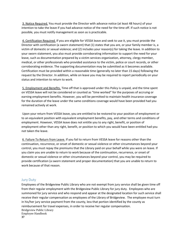3. Notice Required. You must provide the Director with advance notice (at least 48 hours) of your intention to take the leave if you had advance notice of the need for the time off. If such notice is not possible, you must notify management as soon as is practicable.

4. Certification Required. If you are eligible for VESSA leave and seek to use it, you must provide the Director with certification (a sworn statement) that (1) states that you are, or your family member is, a victim of domestic or sexual violence; and (2) includes your reason(s) for taking the leave. In addition to your sworn statement, you also must provide corroborating information to support the need for your leave, such as documentation prepared by a victim services organization, attorney, clergy member, medical, or other professionals who provided assistance to the victim, police or court records, or other corroborating evidence. The supporting documentation may be submitted as it becomes available. Certification must be provided within a reasonable time (generally no later than 15 days) following the request by the Director. In addition, while on leave you may be required to report periodically on your status and intention to return to work.

5. Employment and Benefits. Time off that is approved under this Policy is unpaid, and the time spent on VESSA leave will not be considered or counted as "time worked" for the purposes of accruing or earning employment benefits. However, you will be permitted to maintain health insurance coverage for the duration of the leave under the same conditions coverage would have been provided had you remained actively at work.

Upon your return from VESSA leave, you are entitled to be restored to your position of employment or to an equivalent position with equivalent employment benefits, pay, and other terms and conditions of employment. However, VESSA leave does not entitle you to any right, benefit, or position of employment other than any right, benefit, or position to which you would have been entitled had you not taken the leave.

6. Failure To Return from Leave. If you fail to return from VESSA leave for reasons other than the continuation, recurrence, or onset of domestic or sexual violence or other circumstances beyond your control, you must repay the premiums that the Library paid on your behalf while you were on leave. If you claim you are unable to return to work because of the continuation, recurrence, or onset of domestic or sexual violence or other circumstances beyond your control, you may be required to provide certification (a sworn statement and proper documentation) that you are unable to return to work because of that reason.

### <span id="page-40-0"></span>Jury Duty

Bridgeview Public Library Employee Handbook **37** Employees of the Bridgeview Public Library who are not exempt from jury service shall be given time off from their regular employment with the Bridgeview Public Library for jury duty. Employees who are summoned for jury service and who respond and appear at the designated location for such service shall receive their regular compensation as employees of the Library of Bridgeview. The employee must turn in his/her jury service payment from the county, less that portion identified by the county as reimbursement for travel expenses, in order to receive her regular compensation.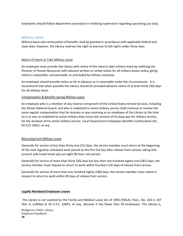Employees should follow department procedure in notifying supervisors regarding upcoming jury duty.

### <span id="page-41-0"></span>Military Leave

Military leave and continuation of benefits shall be granted in accordance with applicable federal and state laws; however, the Library reserves the right to exercise its full rights under these laws.

### Notice of Intent to Take Military Leave

An employee must provide the Library with notice of the need to take military leave by notifying the Director of Human Resources with advance written or verbal notice for all military duties unless giving notice is impossible, unreasonable, or precluded by military necessity.

An employee should provide notice as far in advance as is reasonable under the circumstances. It is recommend that when possible the Library should be provided advance notice of at least thirty (30) days for all military leave.

### Compensation & Benefits during Military Leave

An employee who is a member of any reserve component of the United States Armed Services, including the Illinois National Guard, and who is mobilized to active military service shall continue to receive the same regular compensation that he receives or was receiving as an employee of the Library at the time he is or was so mobilized to active military duty minus the amount of his base pay for military service, for the duration of his active military service. Local Government Employees Benefits Continuation Act, 50 ILCS 140/1, *et seq.*

#### Returning from Military Leave

Generally for service of less than thirty-one (31) days, the service member must return at the beginning of the next regularly scheduled work period on the first full day after release from service, taking into account safe travel home plus an eight (8) hour rest period.

Generally for service of more than thirty (30) days but less than one hundred eighty-one (181) days, the service member must request to return to work within fourteen (14) days of release from service.

Generally for service of more than one hundred eighty (180) days, the service member must submit a request to return to work within 90 days of release from service.

#### **Legally Mandated Employee Leaves**

The Library is not covered by the Family and Medical Leave Act of 1993 (FMLA), Pub.L. No. 103-3, 107 Stat. 6, codified at 29 U.S.C. §2601, et seq., because it has fewer than 50 employees. The Library is,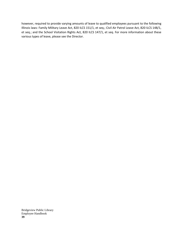however, required to provide varying amounts of leave to qualified employees pursuant to the following Illinois laws: Family Military Leave Act, 820 ILCS 151/1, et seq.; Civil Air Patrol Leave Act, 820 ILCS 148/1, et seq.; and the School Visitation Rights Act, 820 ILCS 147/1, et seq. For more information about these various types of leave, please see the Director.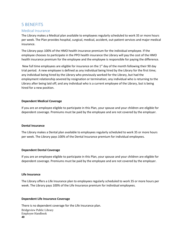## <span id="page-43-0"></span>5 BENEFITS

### <span id="page-43-1"></span>Medical Insurance

The Library makes a Medical plan available to employees regularly scheduled to work 35 or more hours per week. The Plan provides hospital, surgical, medical, accident, out-patient services and major medical insurance.

The Library pays 100% of the HMO health insurance premium for the individual employee. If the employee chooses to participate in the PPO health insurance the Library will pay the cost of the HMO health insurance premium for the employee and the employee is responsible for paying the difference.

New full time employees are eligible for insurance on the  $1<sup>st</sup>$  day of the month following their 90 day trial period. A new employee is defined as any individual being hired by the Library for the first time; any individual being hired by the Library who previously worked for the Library, but had the employment relationship severed by resignation or termination; any individual who is returning to the Library after being laid off; and any individual who is a current employee of the Library, but is being hired for a new position.

#### **Dependent Medical Coverage**

If you are an employee eligible to participate in this Plan, your spouse and your children are eligible for dependent coverage. Premiums must be paid by the employee and are not covered by the employer.

#### **Dental Insurance**

The Library makes a Dental plan available to employees regularly scheduled to work 35 or more hours per week. The Library pays 100% of the Dental Insurance premium for individual employees.

#### **Dependent Dental Coverage**

If you are an employee eligible to participate in this Plan, your spouse and your children are eligible for dependent coverage. Premiums must be paid by the employee and are not covered by the employer.

#### **Life Insurance**

The Library offers a Life Insurance plan to employees regularly scheduled to work 35 or more hours per week. The Library pays 100% of the Life Insurance premium for individual employees.

#### **Dependent Life Insurance Coverage**

Bridgeview Public Library Employee Handbook **40** There is no dependent coverage for the Life Insurance plan.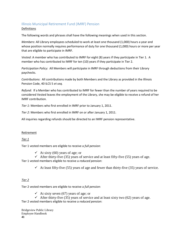### <span id="page-44-0"></span>Illinois Municipal Retirement Fund (IMRF) Pension Definitions

The following words and phrases shall have the following meanings when used in this section.

*Members*: All Library employees scheduled to work at least one thousand (1,000) hours a year and whose position normally requires performance of duty for one thousand (1,000) hours or more per year that are eligible to participate in IMRF.

*Vested*: A member who has contributed to IMRF for eight (8) years if they participate in Tier 1. A member who has contributed to IMRF for ten (10) years if they participate in Tier 2.

*Participation Policy*: All Members will participate in IMRF through deductions from their Library paychecks.

*Contributions*: All contributions made by both Members and the Library as provided in the Illinois Pension Code, 40 ILCS 5 *et seq.*

*Refund*: If a Member who has contributed to IMRF for fewer than the number of years required to be considered Vested leaves the employment of the Library, she may be eligible to receive a refund of her IMRF contribution.

*Tier 1:* Members who first enrolled in IMRF prior to January 1, 2011.

*Tier 2:* Members who first enrolled in IMRF on or after January 1, 2011.

All inquiries regarding refunds should be directed to an IMRF pension representative.

#### Retirement

*Tier 1*

Tier 1 vested members are eligible to receive a *full pension*:

 $\checkmark$  At sixty (60) years of age; or

 $\checkmark$  After thirty-five (35) years of service and at least fifty-five (55) years of age.

Tier 1 vested members eligible to receive a *reduced pension*:

 $\checkmark$  At least fifty-five (55) years of age and fewer than thirty-five (35) years of service.

### *Tier 2*

Tier 2 vested members are eligible to receive a *full pension*:

 $\checkmark$  At sixty seven (67) years of age; or

 $\checkmark$  After thirty-five (35) years of service and at least sixty two (62) years of age.

Tier 2 vested members eligible to receive a *reduced pension*: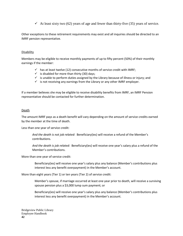$\checkmark$  At least sixty two (62) years of age and fewer than thirty-five (35) years of service.

Other exceptions to these retirement requirements may exist and all inquiries should be directed to an IMRF pension representative.

#### **Disability**

Members may be eligible to receive monthly payments of up to fifty percent (50%) of their monthly earnings if the member:

- $\checkmark$  has at least twelve (12) consecutive months of service credit with IMRF;
- $\checkmark$  is disabled for more than thirty (30) days;
- $\checkmark$  is unable to perform duties assigned by the Library because of illness or injury; and
- $\checkmark$  is not receiving any earnings from the Library or any other IMRF employer.

If a member believes she may be eligible to receive disability benefits from IMRF, an IMRF Pension representative should be contacted for further determination.

#### Death

The amount IMRF pays as a death benefit will vary depending on the amount of service credits earned by the member at the time of death.

Less than one year of service credit:

*And the death is not job related*: Beneficiary(ies) will receive a refund of the Member's contributions.

*And the death is job related*: Beneficiary(ies) will receive one year's salary plus a refund of the Member's contributions.

More than one year of service credit:

Beneficiary(ies) will receive one year's salary plus any balance (Member's contributions plus interest less any benefit overpayment) in the Member's account.

More than eight years (Tier 1) or ten years (Tier 2) of service credit:

Member's spouse, if marriage occurred at least one year prior to death, will receive a surviving spouse pension plus a \$3,000 lump sum payment; or

Beneficiary(ies) will receive one year's salary plus any balance (Member's contributions plus interest less any benefit overpayment) in the Member's account.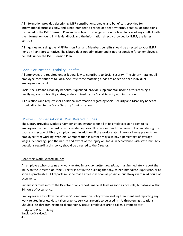All information provided describing IMFR contributions, credits and benefits is provided for informational purposes only, and is not intended to change or alter any terms, benefits, or conditions contained in the IMRF Pension Plan and is subject to change without notice. In case of any conflict with the information found in this Handbook and the information directly provided by IMRF, the latter controls.

All inquiries regarding the IMRF Pension Plan and Members benefits should be directed to your IMRF Pension Plan representative. The Library does not administer and is not responsible for an employee's benefits under the IMRF Pension Plan.

### <span id="page-46-0"></span>Social Security and Disability Benefits

All employees are required under federal law to contribute to Social Security. The Library matches all employee contributions to Social Security; these matching funds are added to each individual employee's account.

Social Security and Disability Benefits, if qualified, provide supplemental income after reaching a qualifying age or disability status, as determined by the Social Security Administration.

All questions and requests for additional information regarding Social Security and Disability benefits should directed to the Social Security Administration.

### <span id="page-46-1"></span>Workers' Compensation & Work Related Injuries

The Library provides Workers' Compensation Insurance for all of its employees at no cost to its employees to cover the cost of work related injuries, illnesses, or death that arise out of and during the course and scope of Library employment. In addition, if the work-related injury or illness prevents an employee from working, Workers' Compensation Insurance may also pay a percentage of average wages, depending upon the nature and extent of the injury or illness, in accordance with state law. Any questions regarding this policy should be directed to the Director.

#### Reporting Work Related Injuries

An employee who sustains any work related injury, *no matter how slight*, must immediately report the injury to the Director, or if the Director is not in the building that day, to her immediate Supervisor, or as soon as practicable. All reports must be made at least as soon as possible, but always within 24 hours of occurrence.

Supervisors must inform the Director of any reports made at least as soon as possible, but always within 24 hours of occurrence.

Employees are to follow the Workers' Compensation Policy when seeking treatment and reporting any work related injuries. Hospital emergency services are only to be used in life-threatening situations. Should a life-threatening medical emergency occur, employees are to call 911 immediately.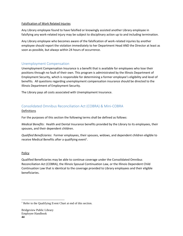#### Falsification of Work Related Injuries

Any Library employee found to have falsified or knowingly assisted another Library employee in falsifying any work-related injury may be subject to disciplinary action up to and including termination.

Any Library employee who becomes aware of the falsification of work-related injuries by another employee should report the violation immediately to her Department Head AND the Director at least as soon as possible, but always within 24 hours of occurrence.

### <span id="page-47-0"></span>Unemployment Compensation

Unemployment Compensation Insurance is a benefit that is available for employees who lose their positions through no fault of their own. This program is administrated by the Illinois Department of Employment Security, which is responsible for determining a former employee's eligibility and level of benefits. All questions regarding unemployment compensation insurance should be directed to the Illinois Department of Employment Security.

The Library pays all costs associated with Unemployment Insurance.

### <span id="page-47-1"></span>Consolidated Omnibus Reconciliation Act (COBRA) & Mini-COBRA

### Definitions

For the purposes of this section the following terms shall be defined as follows:

*Medical Benefits*: Health and Dental Insurance benefits provided by the Library to its employees, their spouses, and their dependent children.

*Qualified Beneficiaries*: Former employees, their spouses, widows, and dependent children eligible to receive Medical Benefits after a qualifying event<sup>1</sup>.

### Policy

 $\overline{a}$ 

Qualified Beneficiaries may be able to continue coverage under the Consolidated Omnibus Reconciliation Act (COBRA), the Illinois Spousal Continuation Law, or the Illinois Dependent Child Continuation Law that is identical to the coverage provided to Library employees and their eligible beneficiaries.

<sup>&</sup>lt;sup>1</sup> Refer to the Qualifying Event Chart at end of this section.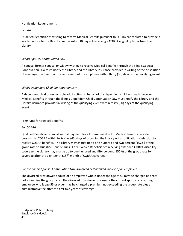#### Notification Requirements

### *COBRA*

Qualified Beneficiaries wishing to receive Medical Benefits pursuant to COBRA are required to provide a written notice to the Director within sixty (60) days of receiving a COBRA eligibility letter from the Library.

### *Illinois Spousal Continuation Law*

A spouse, former spouse, or widow wishing to receive Medical Benefits through the Illinois Spousal Continuation Law must notify the Library and the Library insurance provider in writing of the dissolution of marriage, the death, or the retirement of the employee within thirty (30) days of the qualifying event.

### *Illinois Dependent Child Continuation Law*

A dependent child or responsible adult acting on behalf of the dependent child wishing to receive Medical Benefits through the Illinois Dependent Child Continuation Law must notify the Library and the Library insurance provider in writing of the qualifying event within thirty (30) days of the qualifying event.

### Premiums for Medical Benefits

### *For COBRA*

Qualified Beneficiaries must submit payment for all premiums due for Medical Benefits provided pursuant to COBRA within forty-five (45) days of providing the Library with notification of election to receive COBRA benefits. The Library may charge up to one hundred and two percent (102%) of the group rate to Qualified Beneficiaries. For Qualified Beneficiaries receiving extended COBRA disability coverage the Library may charge up to one hundred and fifty percent (150%) of the group rate for coverage after the eighteenth (18<sup>th</sup>) month of COBRA coverage.

### *For the Illinois Spousal Continuation Law -Divorced or Widowed Spouse of an Employee*

The divorced or widowed spouse of an employee who is under the age of 55 may be charged at a rate not exceeding the group rate. The divorced or widowed spouse or the current spouse of a retiring employee who is age 55 or older may be charged a premium not exceeding the group rate plus an administrative fee after the first two years of coverage.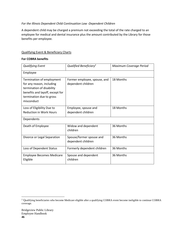### *For the Illinois Dependent Child Continuation Law -Dependent Children*

A dependent child may be charged a premium not exceeding the total of the rate charged to an employee for medical and dental insurance plus the amount contributed by the Library for those benefits per employee.

### Qualifying Event & Beneficiary Charts

#### **For COBRA benefits**

| <b>Qualifying Event</b>                                                                                                                                          | Qualified Beneficiary <sup>2</sup>                 | Maximum Coverage Period |
|------------------------------------------------------------------------------------------------------------------------------------------------------------------|----------------------------------------------------|-------------------------|
| Employee                                                                                                                                                         |                                                    |                         |
| Termination of employment<br>for any reason, including<br>termination of disability<br>benefits and layoff, except for<br>termination due to gross<br>misconduct | Former employee, spouse, and<br>dependent children | 18 Months               |
| Loss of Eligibility Due to<br><b>Reduction in Work Hours</b>                                                                                                     | Employee, spouse and<br>dependent children         | 18 Months               |
| Dependents                                                                                                                                                       |                                                    |                         |
| Death of Employee                                                                                                                                                | Widow and dependent<br>children                    | 36 Months               |
| Divorce or Legal Separation                                                                                                                                      | Spouse/former spouse and<br>dependent children     | 36 Months               |
| Loss of Dependent Status                                                                                                                                         | Formerly dependent children                        | 36 Months               |
| <b>Employee Becomes Medicare</b><br>Eligible                                                                                                                     | Spouse and dependent<br>children                   | 36 Months               |

 $\overline{\phantom{a}}$ 

<sup>&</sup>lt;sup>2</sup> Qualifying beneficiaries who become Medicare eligible after a qualifying COBRA event become ineligible to continue COBRA coverage.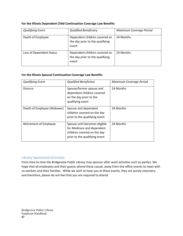| For the Illinois Dependent Child Continuation Coverage Law Benefits |  |
|---------------------------------------------------------------------|--|
|---------------------------------------------------------------------|--|

| <b>Qualifying Event</b>  | <b>Qualified Beneficiary</b>                                              | Maximum Coverage Period |
|--------------------------|---------------------------------------------------------------------------|-------------------------|
| Death of Employee        | Dependent children covered on<br>the day prior to the qualifying<br>event | 24 Months               |
| Loss of Dependent Status | Dependent children covered on<br>the day prior to the qualifying<br>event | 24 Months               |

#### **For the Illinois Spousal Continuation Coverage Law Benefits**

| <b>Qualifying Event</b>     | <b>Qualified Beneficiary</b>                                                                                                | Maximum Coverage Period |
|-----------------------------|-----------------------------------------------------------------------------------------------------------------------------|-------------------------|
| Divorce                     | Spouse/former spouse and<br>dependent children covered<br>on the day prior to the<br>qualifying event                       | 24 Months               |
| Death of Employee (Widower) | Spouse and dependent<br>children covered on the day<br>prior to the qualifying event                                        | 24 Months               |
| Retirement of Employee      | Spouse until becomes eligible<br>for Medicare and dependent<br>children covered on the day<br>prior to the qualifying event | 24 Months               |

### <span id="page-50-0"></span>Library Sponsored Activities

From time to time the Bridgeview Public Library may sponsor after work activities such as parties. We hope that all employees and their guests attend these casual, away-from-the-office events to meet with co-workers and their families. While we wish to have you at these events, they are purely voluntary, and therefore, please do not feel that you are required to attend.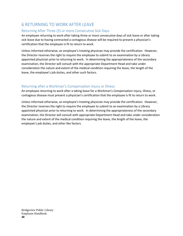# <span id="page-51-0"></span>6 RETURNING TO WORK AFTER LEAVE

### <span id="page-51-1"></span>Returning After Three (3) or more Consecutive Sick Days

An employee returning to work after taking three or more consecutive days of sick leave or after taking sick leave due to having contracted a contagious disease will be required to present a physician's certification that the employee is fit to return to work.

Unless informed otherwise, an employee's treating physician may provide the certification. However, the Director reserves the right to require the employee to submit to an examination by a Library appointed physician prior to returning to work. In determining the appropriateness of the secondary examination, the Director will consult with the appropriate Department Head and take under consideration the nature and extent of the medical condition requiring the leave, the length of the leave, the employee's job duties, and other such factors.

### <span id="page-51-2"></span>Returning after a Workman's Compensation Injury or Illness

An employee returning to work after a taking leave for a Workman's Compensation injury, illness, or contagious disease must present a physician's certification that the employee is fit to return to work.

Unless informed otherwise, an employee's treating physician may provide the certification. However, the Director reserves the right to require the employee to submit to an examination by a Library appointed physician prior to returning to work. In determining the appropriateness of the secondary examination, the Director will consult with appropriate Department Head and take under consideration the nature and extent of the medical condition requiring the leave, the length of the leave, the employee's job duties, and other like factors.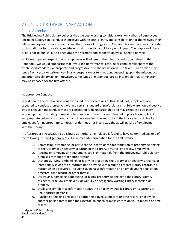# <span id="page-52-0"></span>7 CONDUCT & DISCIPLINARY ACTION

### <span id="page-52-1"></span>Rules of Conduct

The Bridgeview Public Library believes that the best working conditions exist only when all employees (including supervisors) conduct themselves with respect, dignity, and consideration for themselves, their fellow employees, Library residents, and the Library of Bridgeview. Certain rules are necessary to create such conditions for the safety, well-being, and productivity of Library employees. The purpose of these rules is not to punish, but to encourage the harmony and cooperation we all need to do well.

While we hope and expect that all employees will adhere to the rules of conduct contained in this Handbook, we would emphasize that if your job performance, attitude or conduct falls short of the established standards, appropriate and progressive disciplinary action will be taken. Such action may range from verbal or written warnings to suspension or termination, depending upon the misconduct and prior disciplinary action. However, some types of misconduct are so intolerable that termination may be imposed for the first offense.

### Inappropriate Conduct

In addition to the certain provisions described in other sections of this Handbook, employees are expected to conduct themselves within a certain standard of professionalism. Below are non-exhaustive lists of behavior and conduct that are considered to be unacceptable and may result in disciplinary action, up to and including immediate termination. These lists are intended to provide examples of inappropriate behavior and conduct, and in no way limit the authority of the Library to discipline its employees for inappropriate conduct, nor do they alter in any way the at-will nature of employment with the Library.

If, after proper investigation by a Library authority, an employee is found to have committed any one of the following, this will generally result in immediate termination for the first offense:

- 1. Committing, attempting, or participating in theft or misappropriation of property belonging to the Library of Bridgeview, a patron of the Library, a visitor, or a fellow employee;
- 2. Abusing or removing any equipment, tools, or materials from the Bridgeview Public Library premises without proper authorization;
- 3. Dishonesty, lying, embezzling, or falsifying or altering the Library of Bridgeview's records or intentionally giving false information to anyone with a duty to prepare Library records, no matter when discovered, including giving false information on an employment application, timecard, time record, or other forms;
- 4. Destroying, damaging, sabotaging, or hiding property belonging to the Library, Library residents, or fellow employees, or willfully or negligently wasting Library materials or property;
- 5. Disclosing confidential information about the Bridgeview Public Library or its patrons to unauthorized persons;
- 6. Punching or making entries on another employee's timecard or time record, or allowing another person (other than the Director) to punch or make entries on your timecard or time record;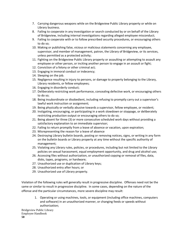- 7. Carrying dangerous weapons while on the Bridgeview Public Library property or while on Library business.
- 8. Failing to cooperate in any investigation or search conducted by or on behalf of the Library of Bridgeview, including internal investigations regarding alleged employee misconduct;
- 9. Failing to cooperate with or to follow prescribed security procedures, or encouraging others to do so;
- 10. Making or publishing false, vicious or malicious statements concerning any employee, supervisor, and member of management, patron, the Library of Bridgeview, or its services, unless permitted as a protected activity;
- 11. Fighting on the Bridgeview Public Library property or assaulting or attempting to assault any employee or other person, or inciting another person to engage in an assault or fight;
- 12. Conviction of a felony or other criminal act;
- 13. Engaging in immoral conduct or indecency;
- 14. Sleeping on the job.
- 15. Negligence resulting in injury to persons, or damage to property belonging to the Library, Library residents, or fellow employees;
- 16. Engaging in disorderly conduct;
- 17. Deliberately restricting work performance, concealing defective work, or encouraging others to do so;
- 18. Being insubordinate or disobedient, including refusing to promptly carry out a supervisor's lawful work instruction or assignment;
- 19. Being physically or verbally abusive towards a supervisor, fellow employee, or resident;
- 20. Instigating, encouraging, or participating in a work slowdown or stoppage, or deliberately restricting production output or encouraging others to do so;
- 21. Being absent for three (3) or more consecutive scheduled work days without providing a satisfactory explanation to an immediate supervisor;
- 22. Failing to return promptly from a leave of absence or vacation, upon expiration;
- 23. Misrepresenting the reason for a leave of absence
- 24. Destroying Library bulletin boards, posting or removing notices, signs, or writing in any form on the bulletin boards or Library property at any time without the specific authority of management;
- 25. Violating any Library rules, policies, or procedures, including but not limited to the Library policies on sexual harassment, equal employment opportunity, and drug and alcohol use;
- 26. Accessing files without authorization, or unauthorized copying or removal of files, data, disks, tapes, programs, or hardware;
- 27. Unauthorized use or duplication of Library keys;
- 28. Unauthorized entry after hours; or
- 29. Unauthorized use of Library property.

Violation of the following rules will generally result in progressive discipline. Offenses need not be the same or similar to result in progressive discipline. In some cases, depending on the nature of the offense and the particular circumstances, more severe discipline may result:

1. Operating or using machines, tools, or equipment (including office machines, computers and software) in an unauthorized manner, or changing feeds or speeds without authorization;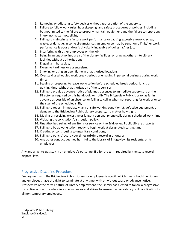- 2. Removing or adjusting safety devices without authorization of the supervisor;
- 3. Failure to follow work rules, housekeeping, and safety procedures or policies, including but not limited to the failure to properly maintain equipment and the failure to report any injury, no matter how slight;
- 4. Failing to maintain satisfactory work performance or causing excessive rework, scrap, waste, or damage; in some circumstances an employee may be sent home if his/her work performance is poor and/or is physically incapable of doing his/her job;
- 5. Interfering with other employees on the job;
- 6. Being in an unauthorized area of the Library facilities, or bringing others into Library facilities without authorization;
- 7. Engaging in horseplay;
- 8. Excessive tardiness or absenteeism;
- 9. Smoking or using an open flame in unauthorized locations;
- 10. Overstaying scheduled work break periods or engaging in personal business during work time;
- 11. Leaving or preparing to leave workstation before scheduled break period, lunch, or quitting time, without authorization of the supervisor;
- 12. Failing to provide advance notice of planned absences to immediate supervisors or the Director as required by this handbook, or notify The Bridgeview Public Library as far in advance as possible of an absence, or failing to call in when not reporting for work prior to the start of the scheduled shift;
- 13. Failing to report, immediately, any unsafe working condition(s), defective equipment, or damage to the Bridgeview Public Library property, no matter how slight;
- 14. Making or receiving excessive or lengthy personal phone calls during scheduled work-time;
- 15. Violating the solicitation/distribution policy;
- 16. Unauthorized selling of any items or service on the Bridgeview Public Library property;
- 17. Failing to be at workstation, ready to begin work at designated starting time;
- 18. Creating or contributing to unsanitary conditions;
- 19. Failing to punch/record your timecard/time record in or out; or
- 20. Any other conduct deemed harmful to the Library of Bridgeview, its residents, or its employees.

Any and all write-ups stay in an employee's personnel file for the term required by the state record disposal law.

### <span id="page-54-0"></span>Progressive Discipline Procedure

Employment with the Bridgeview Public Library for employees is at-will, which means both the Library and employees have the right to terminate at any time, with or without cause or advance notice. Irrespective of the at-will nature of Library employment, the Library has elected to follow a progressive corrective action procedure in some instances and strives to ensure the consistency of its application for all non-temporary employees.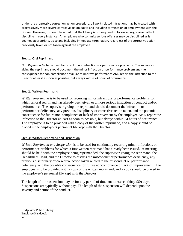Under the progressive correction action procedure, all work-related infractions may be treated with progressively more severe corrective action, up to and including termination of employment with the Library. However, it should be noted that the Library is not required to follow a progressive path of discipline in every instance. An employee who commits serious offenses may be disciplined as is deemed appropriate, up to and including immediate termination, regardless of the corrective action previously taken or not taken against the employee.

### Step 1: Oral Reprimand

*Oral Reprimand* is to be used to correct minor infractions or performance problems. The supervisor giving the reprimand should document the minor infraction or performance problem and the consequence for non-compliance or failure to improve performance AND report the infraction to the Director at least as soon as possible, but always within 24 hours of occurrence.

### Step 2: Written Reprimand

*Written Reprimand* is to be used for recurring minor infractions or performance problems for which an oral reprimand has already been given or a more serious infraction of conduct and/or performance. The supervisor giving the reprimand should document the infraction or performance deficiency, any previous disciplinary or corrective action taken, and the potential consequence for future non-compliance or lack of improvement by the employee AND report the infraction to the Director at least as soon as possible, but always within 24 hours of occurrence. The employee is to be provided with a copy of the written reprimand, and a copy should be placed in the employee's personnel file kept with the Director

### Step 3: Written Reprimand and Suspension

*Written Reprimand and Suspension* is to be used for continually recurring minor infractions or performance problems for which a first written reprimand has already been issued. A meeting should be held with the employee being reprimanded, the supervisor giving the reprimand, the Department Head, and the Director to discuss the misconduct or performance deficiency, any previous disciplinary or corrective action taken related to the misconduct or performance deficiency, and the possible consequence for future noncompliance or lack of improvement. The employee is to be provided with a copy of the written reprimand, and a copy should be placed in the employee's personnel file kept with the Director

The length of the suspension may be for any period of time not to exceed thirty (30) days. Suspensions are typically without pay. The length of the suspension will depend upon the severity and nature of the conduct.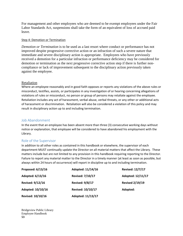For management and other employees who are deemed to be exempt employees under the Fair Labor Standards Act, suspensions shall take the form of an equivalent of loss of accrued paid leave.

### Step 4: Demotion or Termination

*Demotion or Termination* is to be used as a last resort where conduct or performance has not improved despite progressive corrective action or an infraction of such a severe nature that immediate and severe disciplinary action is appropriate. Employees who have previously received a demotion for a particular infraction or performance deficiency may be considered for demotion or termination as the next progressive corrective action step if there is further noncompliance or lack of improvement subsequent to the disciplinary action previously taken against the employee.

### Retaliation

Where an employee reasonably and in good faith opposes or reports any violations of the above rules or misconduct, testifies, assists, or participates in any investigation of or hearing concerning allegations of violations of rules or misconduct, no person or group of persons may retaliate against the employee. Retaliation includes any act of harassment, verbal abuse, verbal threats, or any other or additional acts of harassment or discrimination. Retaliation will also be considered a violation of this policy and may result in disciplinary action up to and including termination.

### <span id="page-56-0"></span>Job Abandonment

In the event that an employee has been absent more than three (3) consecutive working days without notice or explanation, that employee will be considered to have abandoned his employment with the Library.

### <span id="page-56-1"></span>Role of the Supervisor

In addition to all other roles as contained in this handbook or elsewhere, the supervisor of each department MUST continually update the Director on all material matters that affect the Library. These matters include but are not limited to any provision in this handbook requiring reporting to the Director. Failure to report any material matter to the Director in a timely manner (at least as soon as possible, but always within 24 hours of occurrence) will report in discipline up to and including termination.

<span id="page-56-2"></span>

| Proposed: 6/13/16        | Adopted: 11/14/16        | <b>Revised: 12/7/17</b> |
|--------------------------|--------------------------|-------------------------|
| Adopted: 6/13/16         | <b>Revised: 7/10/17</b>  | Adopted: 12/11/17       |
| <b>Revised: 9/12/16</b>  | <b>Revised: 9/8/17</b>   | <b>Revised 2/19/19</b>  |
| Adopted: 10/10/16        | <b>Revised: 10/10/17</b> | Adopted:                |
| <b>Revised: 10/10/16</b> | Adopted: 11/13/17        |                         |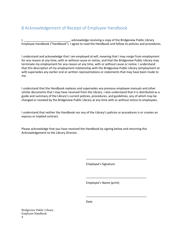# 8 Acknowledgement of Receipt of Employee Handbook

I, **I** acknowledge receiving a copy of the Bridgeview Public Library of the Bridgeview Public Library Employee Handbook ("Handbook"). I agree to read the Handbook and follow its policies and procedures.

I understand and acknowledge that I am employed at will, meaning that I may resign from employment for any reason at any time, with or without cause or notice, and that the Bridgeview Public Library may terminate my employment for any reason at any time, with or without cause or notice. I understand that this description of my employment relationship with the Bridgeview Public Library (employment at will) supersedes any earlier oral or written representations or statements that may have been made to me.

I understand that the Handbook replaces and supersedes any previous employee manuals and other similar documents that I may have received from the Library. I also understand that it is distributed as a guide and summary of the Library's current policies, procedures, and guidelines, any of which may be changed or revoked by the Bridgeview Public Library at any time with or without notice to employees.

I understand that neither the Handbook nor any of the Library's policies or procedures is or creates an express or implied contract.

Please acknowledge that you have received the Handbook by signing below and returning this Acknowledgement to the Library Director.

Employee's Signature

\_\_\_\_\_\_\_\_\_\_\_\_\_\_\_\_\_\_\_\_\_\_\_\_\_\_\_\_\_\_\_\_\_\_\_\_\_

\_\_\_\_\_\_\_\_\_\_\_\_\_\_\_\_\_\_\_\_\_\_\_\_\_\_\_\_\_\_\_\_\_\_\_\_\_

\_\_\_\_\_\_\_\_\_\_\_\_\_\_\_\_\_\_\_\_\_\_\_\_\_\_\_\_\_\_\_\_\_\_\_\_\_

Employee's Name (print)

Date